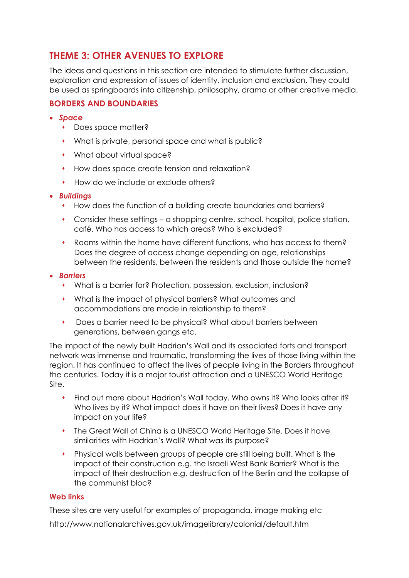# **THEME 3: OTHER AVENUES TO EXPLORE**

The ideas and questions in this section are intended to stimulate further discussion, exploration and expression of issues of identity, inclusion and exclusion. They could be used as springboards into citizenship, philosophy, drama or other creative media.

# **BORDERS AND BOUNDARIES**

- *Space*
	- Does space matter?
	- What is private, personal space and what is public?
	- What about virtual space?
	- How does space create tension and relaxation?
	- How do we include or exclude others?
- *Buildings*
	- How does the function of a building create boundaries and barriers?
	- Consider these settings a shopping centre, school, hospital, police station, café. Who has access to which areas? Who is excluded?
	- Rooms within the home have different functions, who has access to them? Does the degree of access change depending on age, relationships between the residents, between the residents and those outside the home?
- *Barriers*
	- What is a barrier for? Protection, possession, exclusion, inclusion?
	- What is the impact of physical barriers? What outcomes and accommodations are made in relationship to them?
	- Does a barrier need to be physical? What about barriers between generations, between gangs etc.

The impact of the newly built Hadrian's Wall and its associated forts and transport network was immense and traumatic, transforming the lives of those living within the region. It has continued to affect the lives of people living in the Borders throughout the centuries. Today it is a major tourist attraction and a UNESCO World Heritage Site.

- Find out more about Hadrian's Wall today. Who owns it? Who looks after it? Who lives by it? What impact does it have on their lives? Does it have any impact on your life?
- The Great Wall of China is a UNESCO World Heritage Site. Does it have similarities with Hadrian's Wall? What was its purpose?
- Physical walls between groups of people are still being built. What is the impact of their construction e.g. the Israeli West Bank Barrier? What is the impact of their destruction e.g. destruction of the Berlin and the collapse of the communist bloc?

### **Web links**

These sites are very useful for examples of propaganda, image making etc

http://www.nationalarchives.gov.uk/imagelibrary/colonial/default.htm